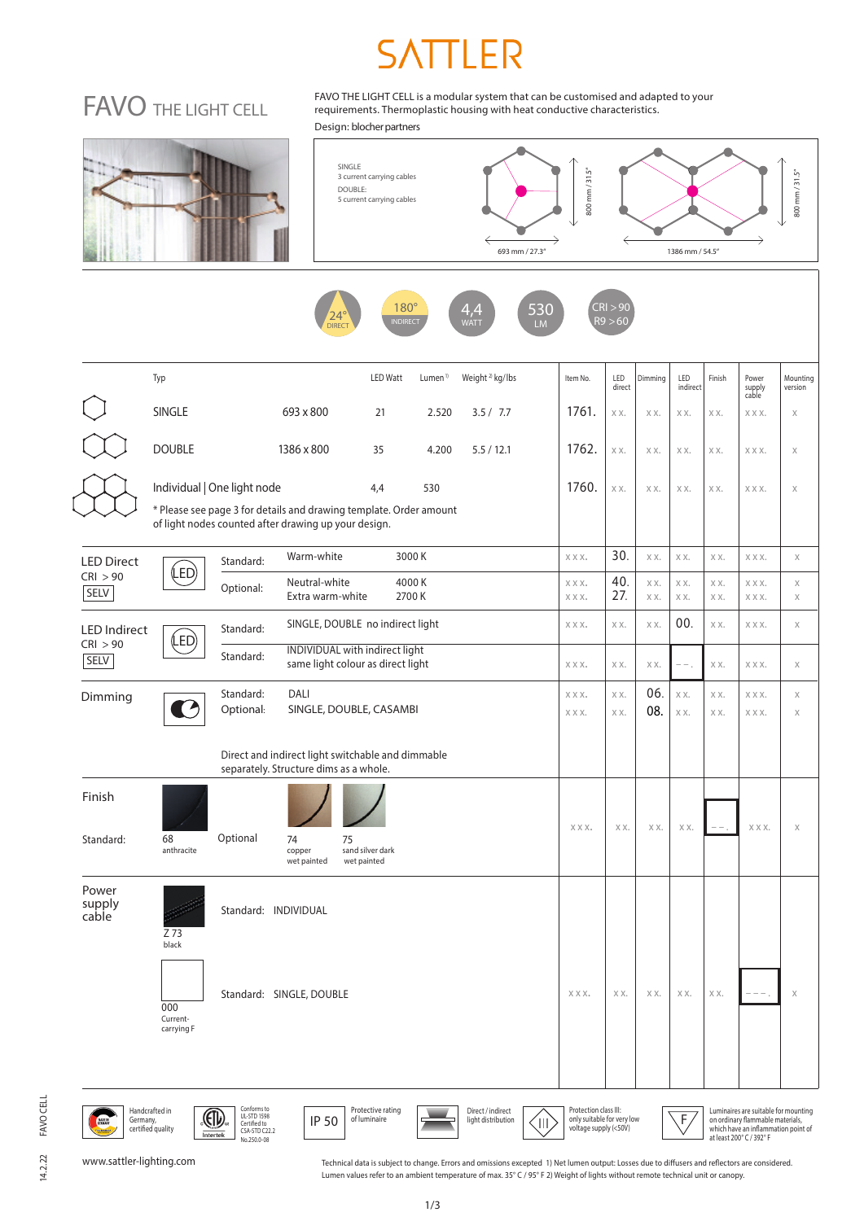# FAVO THE LIGHT CELL

FAVO THE LIGHT CELL is a modular system that can be customised and adapted to your requirements. Thermoplastic housing with heat conductive characteristics. Design: blocher partners







|                                                | Typ<br><b>LED Watt</b><br>Weight <sup>2)</sup> kg/lbs<br>Lumen <sup>1)</sup>                                                                                            | Item No.     | LED<br>direct | Dimming    | LED<br>indirect | Finish     | Power<br>supply<br>cable | Mounting<br>version     |
|------------------------------------------------|-------------------------------------------------------------------------------------------------------------------------------------------------------------------------|--------------|---------------|------------|-----------------|------------|--------------------------|-------------------------|
|                                                | <b>SINGLE</b><br>693 x 800<br>21<br>2.520<br>3.5 / 7.7                                                                                                                  | 1761.        | XX.           | XX.        | XX.             | XX.        | XXX.                     | X                       |
|                                                | <b>DOUBLE</b><br>1386 x 800<br>35<br>4.200<br>5.5/12.1                                                                                                                  | 1762.        | XX.           | XX.        | XX.             | XX.        | XXX.                     | X                       |
|                                                | Individual   One light node<br>530<br>4,4<br>* Please see page 3 for details and drawing template. Order amount<br>of light nodes counted after drawing up your design. | 1760.        | XX.           | XX.        | XX.             | XX.        | XXX.                     | $\mathsf X$             |
| <b>LED Direct</b><br>CRI > 90<br>SELV          | Warm-white<br>3000K<br>Standard:                                                                                                                                        | XXX.         | 30.           | XX.        | XX.             | XX.        | XXX.                     | $\mathsf X$             |
|                                                | (LED)<br>Neutral-white<br>4000K<br>Optional:<br>Extra warm-white<br>2700K                                                                                               | XXX.<br>XXX. | 40.<br>27.    | XX.<br>XX. | XX.<br>XX.      | XX.<br>XX. | XXX.<br>XXX.             | $\mathsf X$<br>$\times$ |
| <b>LED Indirect</b><br>CRI > 90<br><b>SELV</b> | SINGLE, DOUBLE no indirect light<br>Standard:                                                                                                                           | XXX.         | XX.           | XX.        | 00.             | XX.        | XXX.                     | $\mathsf X$             |
|                                                | (LED)<br>INDIVIDUAL with indirect light<br>Standard:<br>same light colour as direct light                                                                               | XXX.         | XX.           | XX.        | $---$           | XX.        | XXX.                     | $\mathsf X$             |
| Dimming                                        | DALI<br>Standard:<br>Optional:<br>SINGLE, DOUBLE, CASAMBI                                                                                                               | XXX.<br>XXX. | XX.<br>XX.    | 06.<br>08. | XX.<br>XX.      | XX.<br>XX. | XXX.<br>XXX.             | $\mathsf X$<br>$\times$ |
|                                                | Direct and indirect light switchable and dimmable<br>separately. Structure dims as a whole.                                                                             |              |               |            |                 |            |                          |                         |
| Finish<br>Standard:                            | Optional<br>68<br>74<br>75<br>anthracite<br>copper<br>sand silver dark<br>wet painted<br>wet painted                                                                    | XXX.         | XX.           | XX.        | XX.             |            | XXX.                     | $\chi$                  |
| Power<br>supply<br>cable                       | Standard: INDIVIDUAL<br>Z 73<br>black                                                                                                                                   |              |               |            |                 |            |                          |                         |
|                                                | Standard: SINGLE, DOUBLE<br>000<br>Current-<br>carrying F                                                                                                               | XXX.         | XX.           | XX.        | XX.             | XX.        | $---$                    | X                       |
|                                                |                                                                                                                                                                         |              |               |            |                 |            |                          |                         |

www.sattler-lighting.com

NADE IN

Handcrafted in<br>Germany,<br>certified quality

Conforms to UL-STD 1598 Certified to CSA-STD C22.2 No.250.0-08

Technical data is subject to change. Errors and omissions excepted 1) Net lumen output: Losses due to diffusers and reflectors are considered.<br>Lumen values refer to an ambient temperature of max. 35° C / 95° F 2) Weight of

Direct / indirect<br>light distribution

Luminaires are suitable for mounting on ordinary flammable materials, which have an inflammation point of at least 200° C / 392° F

Handcrafted in COM Comoms to the COM Protective rating<br>Germany, Inc. (COM Certified quality Care of Cass III: The Comoms of Comoms III Care of Comoms Comoms only suit<br>Certified quality (<50V) Cass II: Cass II: Cass II: Cas

**50** Protective rating<br> **CO** of luminaire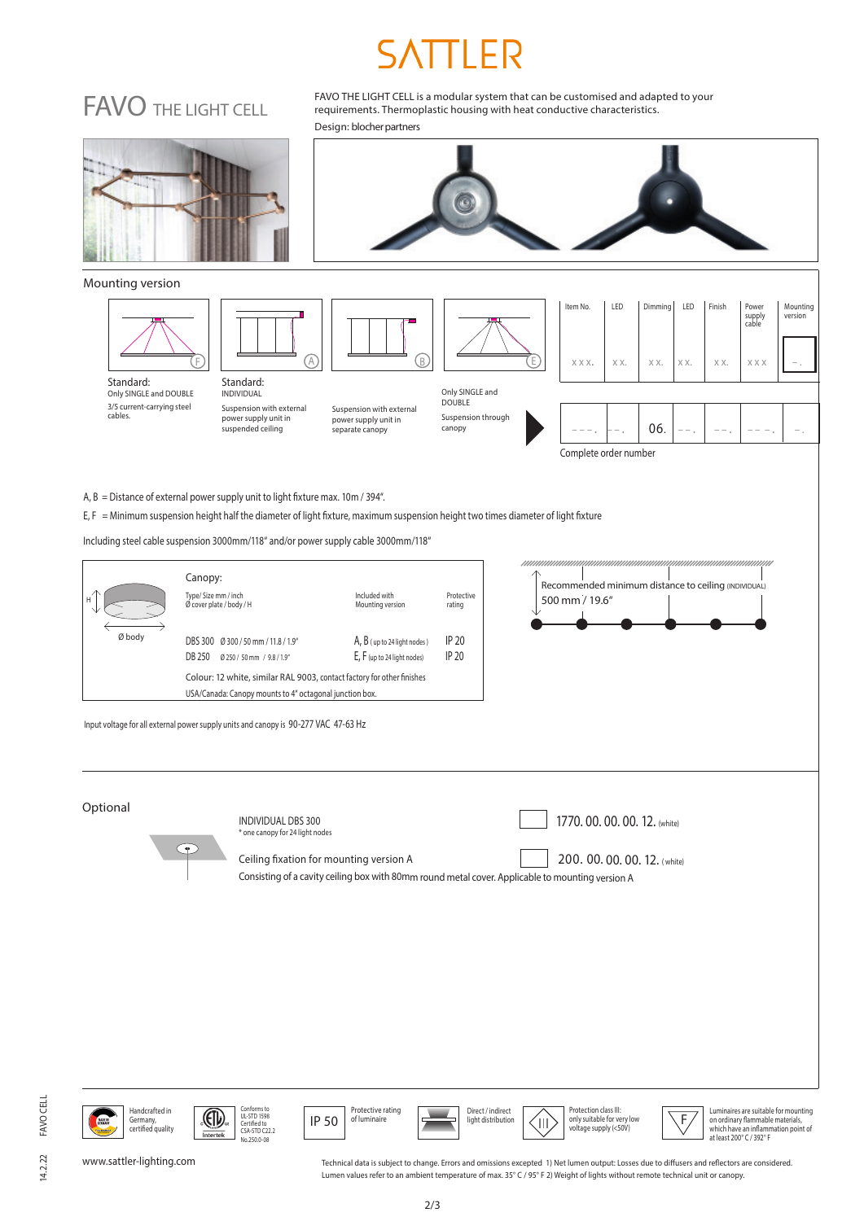## FAVO THE LIGHT CELL

FAVO THE LIGHT CELL is a modular system that can be customised and adapted to your requirements. Thermoplastic housing with heat conductive characteristics. Design: blocher partners



14.2.22

FAVO CELL

**FAVO CELL** 

Handcrafted in COM Comoms to the U.S. Protective rating<br>Germany, Comoms (Serving of Discriment of Discriment of Discriment of Direct/indirect Protection class III: P<br>Certified quality voltage supply (<50V) Germany, certified quality

Conforms to UL-STD 1598 Certified to CSA-STD C22.2 No.250.0-08

www.sattler-lighting.com

Technical data is subject to change. Errors and omissions excepted 1) Net lumen output: Losses due to diffusers and reflectors are considered. Lumen values refer to an ambient temperature of max. 35° C / 95° F 2) Weight of lights without remote technical unit or canopy.

Luminaires are suitable for mounting on ordinary flammable materials, which have an inflammation point of at least 200° C / 392° F

Direct / indirect

**Protective rating Protective rating Protective rating Protect** *ight distribution*